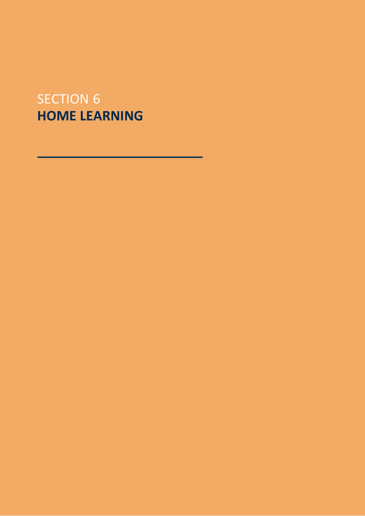# SECTION 6 **HOME LEARNING**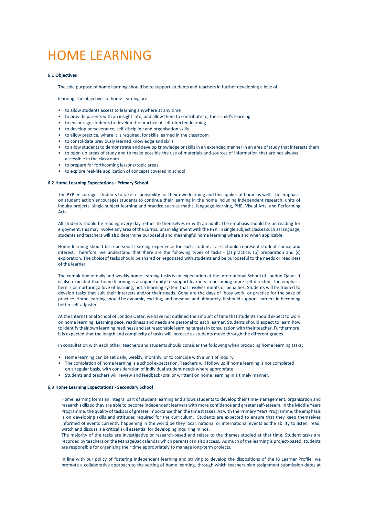# HOME LEARNING

#### **6.1 Objectives**

The sole purpose of home learning should be to support students and teachers in further developing a love of

learning.The objectives of home learning are:

- to allow students access to learning anywhere at any time
- to provide parents with an insight into, and allow them to contribute to, their child's learning
- to encourage students to develop the practice of self-directed learning
- to develop perseverance, self-discipline and organisation skills
- to allow practice, where it is required, for skills learned in the classroom
- to consolidate previously learned knowledge and skills
- to allow students to demonstrate and develop knowledge or skills in an extended manner in an area of study that interests them
- to open up areas of study and to make possible the use of materials and sources of information that are not always accessible in the classroom
- to prepare for forthcoming lessons/topic areas
- to explore real-life application of concepts covered in school

## **6.2 Home Learning Expectations - Primary School**

The PYP encourages students to take responsibility for their own learning and this applies at home as well. The emphasis on student action encourages students to continue their learning in the home including independent research, units of inquiry projects, single subject learning and practice such as maths, language learning, PHE, Visual Arts, and Performing Arts.

All students should be reading every day, either to themselves or with an adult. The emphasis should be on reading for enjoyment.This may involve any area of the curriculum in alignment with the PYP. In single subject classes such as language, students and teachers will also determine purposeful and meaningful home learning where and when applicable.

Home learning should be a personal learning experience for each student. Tasks should represent student choice and interest. Therefore, we understand that there are the following types of tasks - (a) practice, (b) preparation and (c) exploration. The choiceof tasks should be shared or negotiated with students and be purposeful to the needs or readiness of the learner.

The completion of daily and weekly home learning tasks is an expectation at the International School of London Qatar. It is also expected that home learning is an opportunity to support learners in becoming more self-directed. The emphasis here is on nurturinga love of learning, not a learning system that involves merits or penalties. Students will be trained to develop tasks that suit their interests and/or their needs. Gone are the days of 'busy work' or practice for the sake of practice. Home learning should be dynamic, exciting, and personal and ultimately, it should support learners in becoming better self-adjusters.

At the International School of London Qatar, we have not outlined the amount of time that students should expect to work on home learning. Learning pace, readiness and needs are personal to each learner. Students should expect to learn how to identify their own learning readiness and set reasonable learning targets in consultation with their teacher. Furthermore, it is expected that the length and complexity of tasks will increase as students move through the different grades.

In consultation with each other, teachers and students should consider the following when producing home learning tasks:

- Home learning can be set daily, weekly, monthly, or to coincide with a unit of inquiry
- The completion of home learning is a school expectation. Teachers will follow up if home learning is not completed
- on a regular basis, with consideration of individual student needs where appropriate.
- Students and teachers will review and feedback (oral or written) on home learning in a timely manner.

## **6.3 Home Learning Expectations - Secondary School**

Home learning forms an integral part of student learning and allows students to develop their time-management, organisation and research skills so they are able to become independent learners with more confidence and greater self-esteem. In the Middle Years Programme, the quality of tasks is of greater importance than the time it takes. As with the Primary Years Programme, the emphasis is on developing skills and attitudes required for the curriculum. Students are expected to ensure that they keep themselves informed of events currently happening in the world be they local, national or international events as the ability to listen, read, watch and discuss is a critical skill essential for developing inquiring minds.

The majority of the tasks are investigative or research-based and relate to the themes studied at that time. Student tasks are recorded by teachers on the ManageBac calendar which parents can also access. As much of the learning is project-based, students are responsible for organizing their time appropriately to manage long-term projects.

In line with our policy of fostering independent learning and striving to develop the dispositions of the IB Learner Profile, we promote a collaborative approach to the setting of home learning, through which teachers plan assignment submission dates at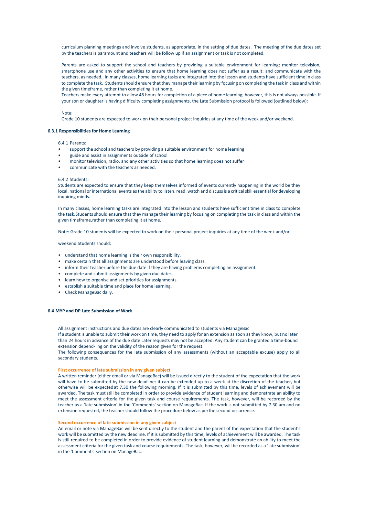curriculum planning meetings and involve students, as appropriate, in the setting of due dates. The meeting of the due dates set by the teachers is paramount and teachers will be follow up if an assignment or task is not completed.

Parents are asked to support the school and teachers by providing a suitable environment for learning; monitor television, smartphone use and any other activities to ensure that home learning does not suffer as a result; and communicate with the teachers, as needed. In many classes, home learning tasks are integrated into the lesson and students have sufficient time in class to complete the task. Students should ensure that they manage their learning by focusing on completing the task in class and within the given timeframe, rather than completing it at home.

Teachers make every attempt to allow 48 hours for completion of a piece of home learning; however, this is not always possible. If your son or daughter is having difficulty completing assignments, the Late Submission protocol is followed (outlined below):

### Note:

Grade 10 students are expected to work on their personal project inquiries at any time of the week and/or weekend.

# **6.3.1 Responsibilities for Home Learning**

# 6.4.1 Parents:

- support the school and teachers by providing a suitable environment for home learning
- guide and assist in assignments outside of school
- monitor television, radio, and any other activities so that home learning does not suffer
- communicate with the teachers as needed.

#### 6.4.2 Students:

Students are expected to ensure that they keep themselves informed of events currently happening in the world be they local, national or international events as the ability to listen, read, watch and discuss is a critical skill essential for developing inquiring minds.

In many classes, home learning tasks are integrated into the lesson and students have sufficient time in class to complete the task.Students should ensure that they manage their learning by focusing on completing the task in class and within the given timeframe,rather than completing it at home.

Note: Grade 10 students will be expected to work on their personal project inquiries at any time of the week and/or

#### weekend.Students should:

- understand that home learning is their own responsibility.
- make certain that all assignments are understood before leaving class.
- inform their teacher before the due date if they are having problems completing an assignment.
- complete and submit assignments by given due dates.
- learn how to organise and set priorities for assignments.
- establish a suitable time and place for home learning.
- Check ManageBac daily.

### **6.4 MYP and DP Late Submission of Work**

All assignment instructions and due dates are clearly communicated to students via ManageBac

If a student is unable to submit their work on time, they need to apply for an extension as soon as they know, but no later than 24 hours in advance of the due date Later requests may not be accepted. Any student can be granted a time-bound extension depend- ing on the validity of the reason given for the request.

The following consequences for the late submission of any assessments (without an acceptable excuse) apply to all secondary students.

#### **First occurrence of late submission in any given subject**

A written reminder (either email or via ManageBac) will be issued directly to the student of the expectation that the work will have to be submitted by the new deadline: it can be extended up to a week at the discretion of the teacher, but otherwise will be expectedat 7.30 the following morning. If it is submitted by this time, levels of achievement will be awarded. The task must still be completed in order to provide evidence of student learning and demonstrate an ability to meet the assessment criteria for the given task and course requirements. The task, however, will be recorded by the teacher as a 'late submission' in the 'Comments' section on ManageBac. If the work is not submitted by 7.30 am and no extension requested, the teacher should follow the procedure below as perthe second occurrence.

### **Second occurrence of late submission in any given subject**

An email or note via ManageBac will be sent directly to the student and the parent of the expectation that the student's work will be submitted by the new deadline. If it is submitted by this time, levels of achievement will be awarded. The task is still required to be completed in order to provide evidence of student learning and demonstrate an ability to meet the assessment criteria for the given task and course requirements. The task, however, will be recorded as a 'late submission' in the 'Comments' section on ManageBac.